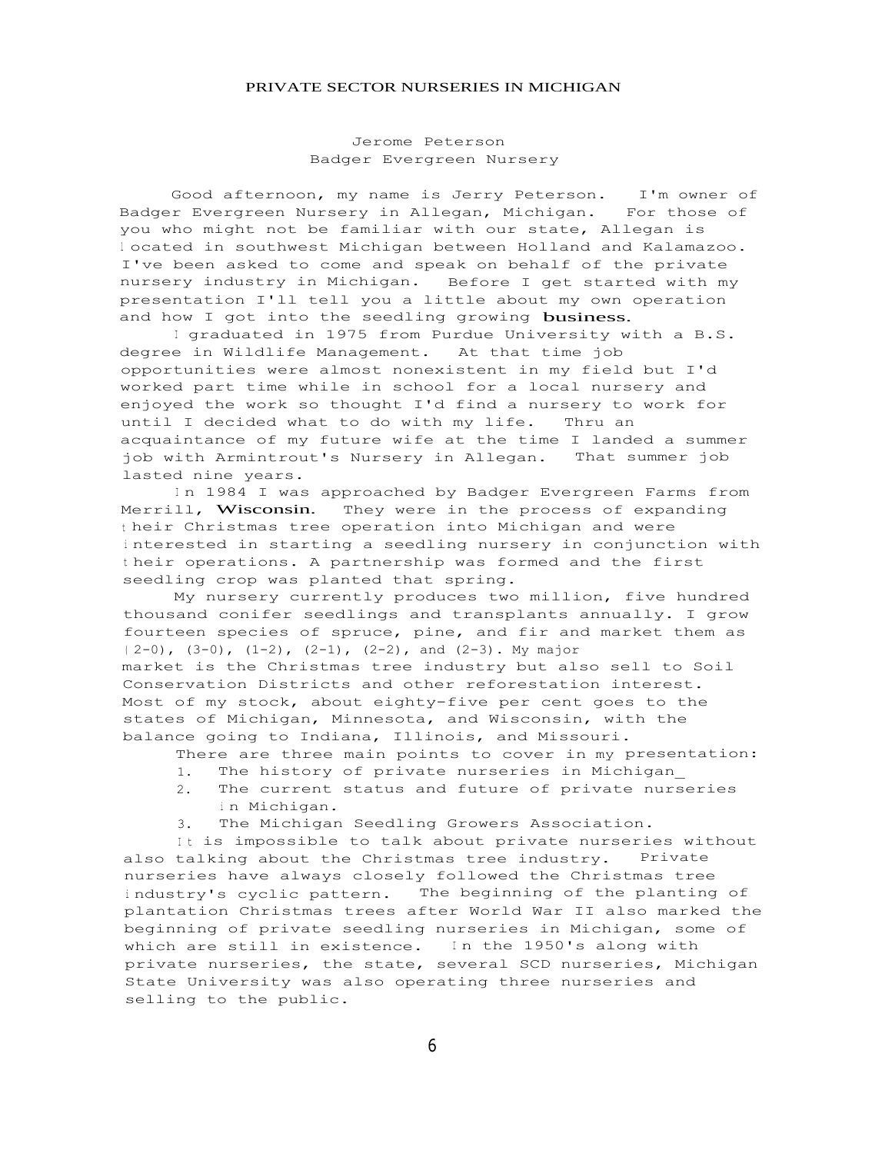## PRIVATE SECTOR NURSERIES IN MICHIGAN

Jerome Peterson Badger Evergreen Nursery

Good afternoon, my name is Jerry Peterson. I'm owner of Badger Evergreen Nursery in Allegan, Michigan. For those of you who might not be familiar with our state, Allegan is <sup>l</sup> ocated in southwest Michigan between Holland and Kalamazoo. I've been asked to come and speak on behalf of the private nursery industry in Michigan. Before I get started with my presentation I'll tell you a little about my own operation and how I got into the seedling growing business.

I graduated in 1975 from Purdue University with a B.S. degree in Wildlife Management. At that time job opportunities were almost nonexistent in my field but I'd worked part time while in school for a local nursery and enjoyed the work so thought I'd find a nursery to work for until I decided what to do with my life. Thru an acquaintance of my future wife at the time I landed a summer job with Armintrout's Nursery in Allegan. That summer job lasted nine years.

In 1984 I was approached by Badger Evergreen Farms from Merrill, Wisconsin. They were in the process of expanding <sup>t</sup> heir Christmas tree operation into Michigan and were <sup>i</sup> nterested in starting a seedling nursery in conjunction with <sup>t</sup> heir operations. A partnership was formed and the first seedling crop was planted that spring.

My nursery currently produces two million, five hundred thousand conifer seedlings and transplants annually. I grow fourteen species of spruce, pine, and fir and market them as  $(2-0)$ ,  $(3-0)$ ,  $(1-2)$ ,  $(2-1)$ ,  $(2-2)$ , and  $(2-3)$ . My major market is the Christmas tree industry but also sell to Soil Conservation Districts and other reforestation interest. Most of my stock, about eighty-five per cent goes to the states of Michigan, Minnesota, and Wisconsin, with the balance going to Indiana, Illinois, and Missouri.

There are three main points to cover in my presentation:

- 1. The history of private nurseries in Michigan\_
- 2. The current status and future of private nurseries <sup>i</sup> n Michigan.
- 3. The Michigan Seedling Growers Association.

It is impossible to talk about private nurseries without also talking about the Christmas tree industry. Private nurseries have always closely followed the Christmas tree <sup>i</sup> ndustry's cyclic pattern. The beginning of the planting of plantation Christmas trees after World War II also marked the beginning of private seedling nurseries in Michigan, some of which are still in existence. In the 1950's along with private nurseries, the state, several SCD nurseries, Michigan State University was also operating three nurseries and selling to the public.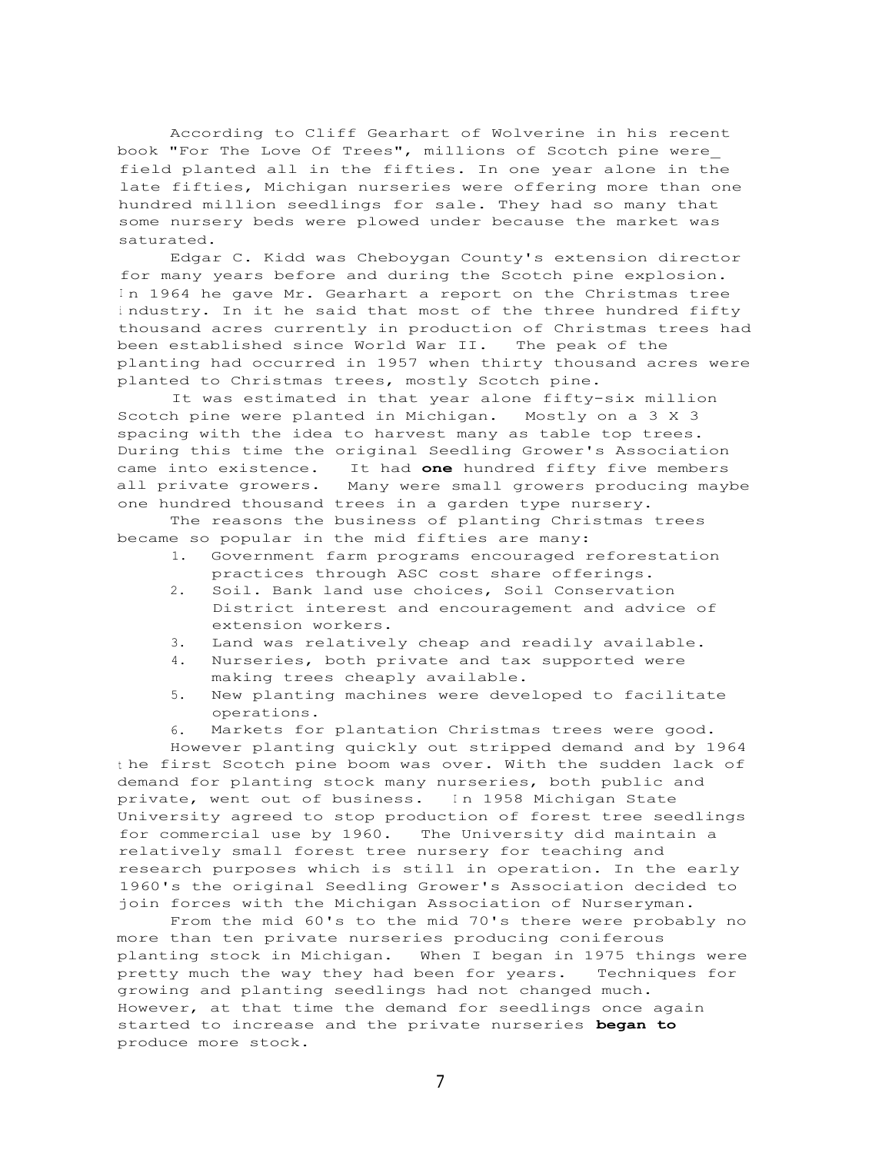According to Cliff Gearhart of Wolverine in his recent book "For The Love Of Trees", millions of Scotch pine were\_ field planted all in the fifties. In one year alone in the late fifties, Michigan nurseries were offering more than one hundred million seedlings for sale. They had so many that some nursery beds were plowed under because the market was saturated.

Edgar C. Kidd was Cheboygan County's extension director for many years before and during the Scotch pine explosion. In 1964 he gave Mr. Gearhart a report on the Christmas tree <sup>i</sup> ndustry. In it he said that most of the three hundred fifty thousand acres currently in production of Christmas trees had been established since World War II. The peak of the planting had occurred in 1957 when thirty thousand acres were planted to Christmas trees, mostly Scotch pine.

It was estimated in that year alone fifty-six million Scotch pine were planted in Michigan. Mostly on a 3 X 3 spacing with the idea to harvest many as table top trees. During this time the original Seedling Grower's Association came into existence. It had **one** hundred fifty five members all private growers. Many were small growers producing maybe one hundred thousand trees in a garden type nursery.

The reasons the business of planting Christmas trees became so popular in the mid fifties are many:

- 1. Government farm programs encouraged reforestation practices through ASC cost share offerings.
- 2. Soil. Bank land use choices, Soil Conservation District interest and encouragement and advice of extension workers.
- 3. Land was relatively cheap and readily available.
- 4. Nurseries, both private and tax supported were making trees cheaply available.
- 5. New planting machines were developed to facilitate operations.
- 6. Markets for plantation Christmas trees were good.

However planting quickly out stripped demand and by 1964 <sup>t</sup> he first Scotch pine boom was over. With the sudden lack of demand for planting stock many nurseries, both public and private, went out of business. In 1958 Michigan State University agreed to stop production of forest tree seedlings for commercial use by 1960. The University did maintain a relatively small forest tree nursery for teaching and research purposes which is still in operation. In the early 1960's the original Seedling Grower's Association decided to join forces with the Michigan Association of Nurseryman.

From the mid 60's to the mid 70's there were probably no more than ten private nurseries producing coniferous planting stock in Michigan. When I began in 1975 things were pretty much the way they had been for years. Techniques for growing and planting seedlings had not changed much. However, at that time the demand for seedlings once again started to increase and the private nurseries **began to** produce more stock.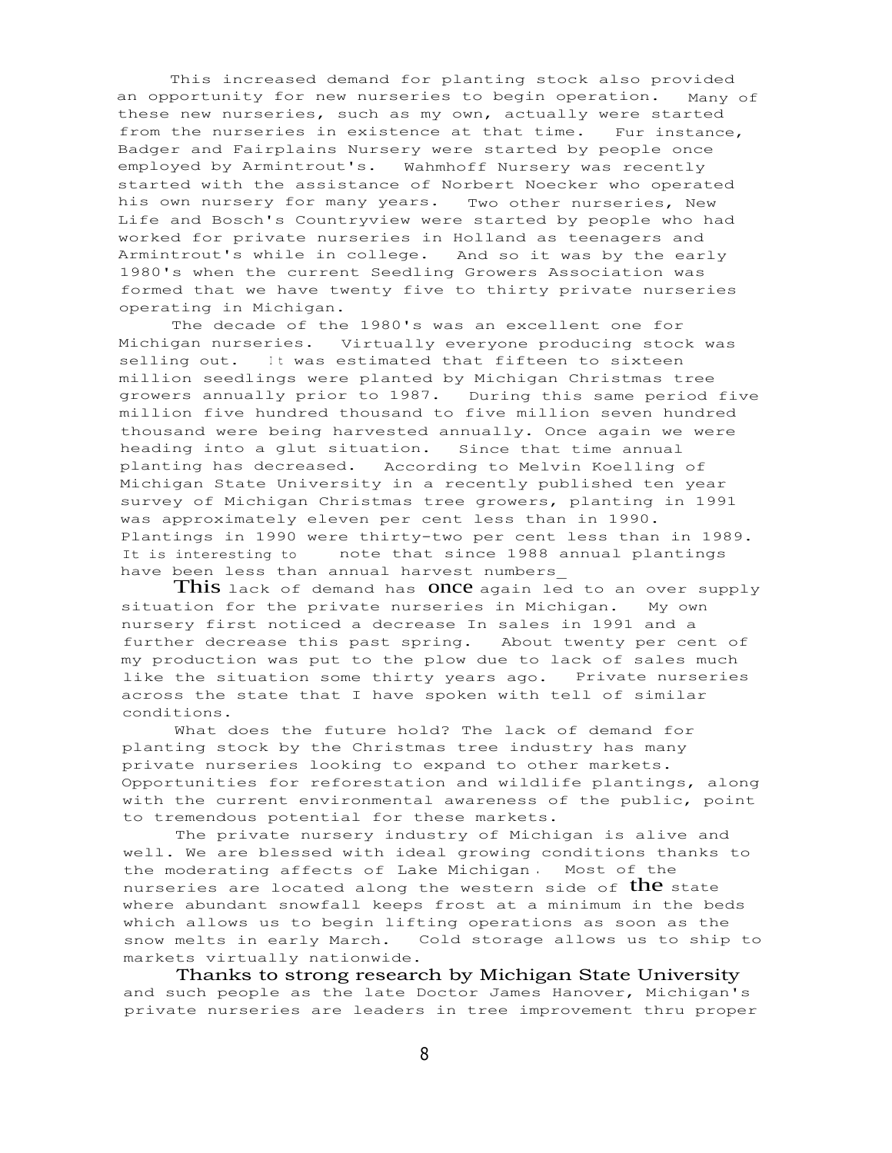This increased demand for planting stock also provided an opportunity for new nurseries to begin operation. Many of these new nurseries, such as my own, actually were started from the nurseries in existence at that time. Fur instance, Badger and Fairplains Nursery were started by people once employed by Armintrout's. Wahmhoff Nursery was recently started with the assistance of Norbert Noecker who operated his own nursery for many years. Two other nurseries, New Life and Bosch's Countryview were started by people who had worked for private nurseries in Holland as teenagers and Armintrout's while in college. And so it was by the early 1980's when the current Seedling Growers Association was formed that we have twenty five to thirty private nurseries operating in Michigan.

The decade of the 1980's was an excellent one for Michigan nurseries. Virtually everyone producing stock was selling out. It was estimated that fifteen to sixteen million seedlings were planted by Michigan Christmas tree growers annually prior to 1987. During this same period five million five hundred thousand to five million seven hundred thousand were being harvested annually. Once again we were heading into a glut situation. Since that time annual planting has decreased. According to Melvin Koelling of Michigan State University in a recently published ten year survey of Michigan Christmas tree growers, planting in 1991 was approximately eleven per cent less than in 1990. Plantings in 1990 were thirty-two per cent less than in 1989. It is interesting to note that since 1988 annual plantings have been less than annual harvest numbers\_

This lack of demand has ONCC again led to an over supply situation for the private nurseries in Michigan. My own nursery first noticed a decrease In sales in 1991 and a further decrease this past spring. About twenty per cent of my production was put to the plow due to lack of sales much like the situation some thirty years ago. Private nurseries across the state that I have spoken with tell of similar conditions.

What does the future hold? The lack of demand for planting stock by the Christmas tree industry has many private nurseries looking to expand to other markets. Opportunities for reforestation and wildlife plantings, along with the current environmental awareness of the public, point to tremendous potential for these markets.

The private nursery industry of Michigan is alive and well. We are blessed with ideal growing conditions thanks to the moderating affects of Lake Michigan . Most of the nurseries are located along the western side of the state where abundant snowfall keeps frost at a minimum in the beds which allows us to begin lifting operations as soon as the snow melts in early March. Cold storage allows us to ship to markets virtually nationwide.

Thanks to strong research by Michigan State University and such people as the late Doctor James Hanover, Michigan's private nurseries are leaders in tree improvement thru proper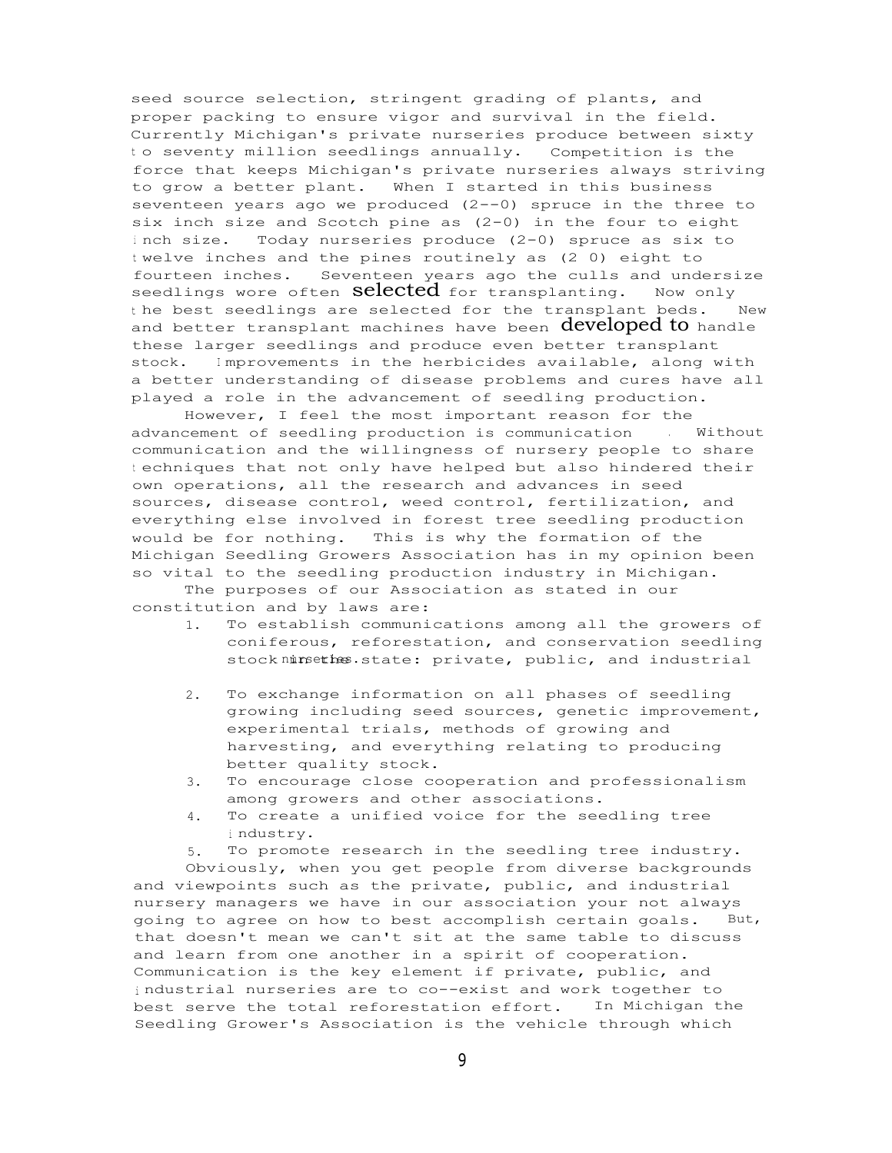seed source selection, stringent grading of plants, and proper packing to ensure vigor and survival in the field. Currently Michigan's private nurseries produce between sixty <sup>t</sup> o seventy million seedlings annually. Competition is the force that keeps Michigan's private nurseries always striving to grow a better plant. When I started in this business seventeen years ago we produced  $(2--0)$  spruce in the three to six inch size and Scotch pine as (2-0) in the four to eight <sup>i</sup> nch size. Today nurseries produce (2-0) spruce as six to <sup>t</sup> welve inches and the pines routinely as (2 0) eight to fourteen inches. Seventeen years ago the culls and undersize seedlings wore often **Sclected** for transplanting. Now only <sup>t</sup> he best seedlings are selected for the transplant beds. New and better transplant machines have been developed to handle these larger seedlings and produce even better transplant stock. <sup>I</sup> mprovements in the herbicides available, along with a better understanding of disease problems and cures have all played a role in the advancement of seedling production.

However, I feel the most important reason for the advancement of seedling production is communication . Without communication and the willingness of nursery people to share <sup>t</sup> echniques that not only have helped but also hindered their own operations, all the research and advances in seed sources, disease control, weed control, fertilization, and everything else involved in forest tree seedling production would be for nothing. This is why the formation of the Michigan Seedling Growers Association has in my opinion been so vital to the seedling production industry in Michigan.

The purposes of our Association as stated in our constitution and by laws are:

- 1. To establish communications among all the growers of coniferous, reforestation, and conservation seedling stock ninsethes. state: private, public, and industrial
- 2. To exchange information on all phases of seedling growing including seed sources, genetic improvement, experimental trials, methods of growing and harvesting, and everything relating to producing better quality stock.
- 3. To encourage close cooperation and professionalism among growers and other associations.
- 4. To create a unified voice for the seedling tree <sup>i</sup> ndustry.
- 5. To promote research in the seedling tree industry.

Obviously, when you get people from diverse backgrounds and viewpoints such as the private, public, and industrial nursery managers we have in our association your not always going to agree on how to best accomplish certain goals. But, that doesn't mean we can't sit at the same table to discuss and learn from one another in a spirit of cooperation. Communication is the key element if private, public, and <sup>i</sup> ndustrial nurseries are to co--exist and work together to best serve the total reforestation effort. In Michigan the Seedling Grower's Association is the vehicle through which